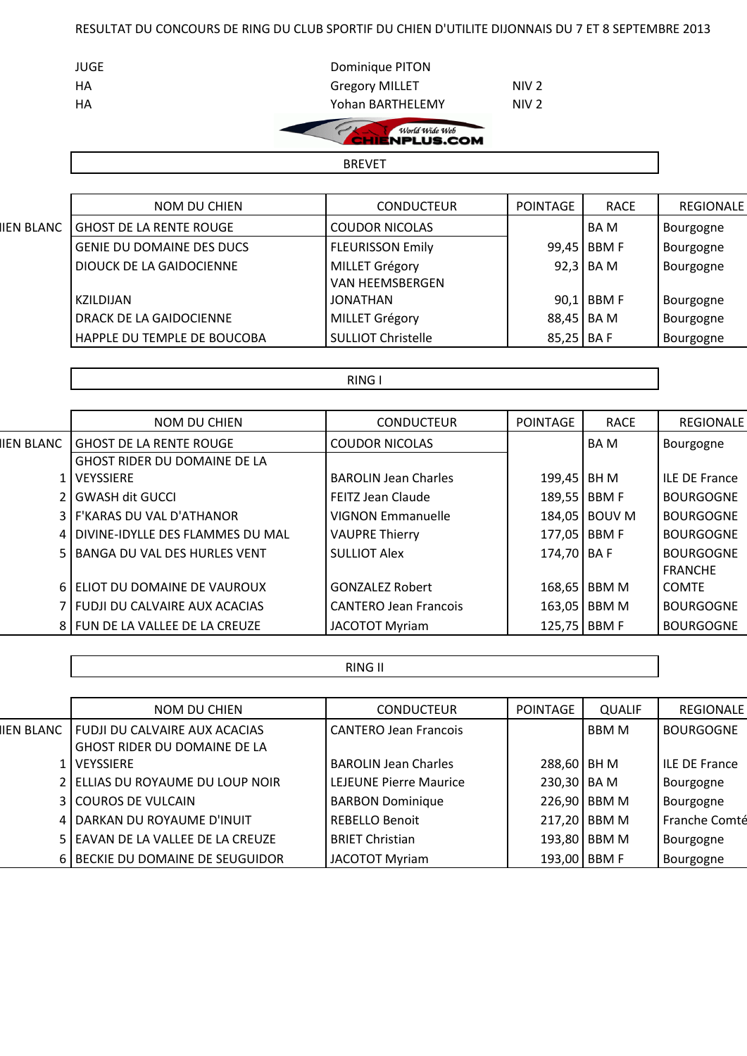## RESULTAT DU CONCOURS DE RING DU CLUB SPORTIF DU CHIEN D'UTILITE DIJONNAIS DU 7 ET 8 SEPTEMBRE 2013

| JUGE | Dominique PITON       |                  |
|------|-----------------------|------------------|
| HA   | <b>Gregory MILLET</b> | NIV <sub>2</sub> |
| HA   | Yohan BARTHELEMY      | NIV <sub>2</sub> |
|      |                       |                  |

World Wide Web  $\epsilon$ 

BREVET

|  | IEN BLANC |  |
|--|-----------|--|
|  |           |  |

Г

|            | NOM DU CHIEN                     | <b>CONDUCTEUR</b>         | <b>POINTAGE</b> | <b>RACE</b> | <b>REGIONALE</b> |
|------------|----------------------------------|---------------------------|-----------------|-------------|------------------|
| IIEN BLANC | <b>GHOST DE LA RENTE ROUGE</b>   | <b>COUDOR NICOLAS</b>     |                 | <b>BAM</b>  | Bourgogne        |
|            | <b>GENIE DU DOMAINE DES DUCS</b> | <b>FLEURISSON Emily</b>   |                 | 99,45 BBM F | Bourgogne        |
|            | DIOUCK DE LA GAIDOCIENNE         | <b>MILLET Grégory</b>     |                 | $92,3$ BA M | Bourgogne        |
|            |                                  | VAN HEEMSBERGEN           |                 |             |                  |
|            | KZILDIJAN                        | JONATHAN                  |                 | 90,1 BBM F  | Bourgogne        |
|            | DRACK DE LA GAIDOCIENNE          | <b>MILLET Grégory</b>     | 88,45 BA M      |             | Bourgogne        |
|            | HAPPLE DU TEMPLE DE BOUCOBA      | <b>SULLIOT Christelle</b> | 85,25 BA F      |             | Bourgogne        |

## RING I

|            | <b>NOM DU CHIEN</b>                 | <b>CONDUCTEUR</b>            | POINTAGE       | <b>RACE</b>   | <b>REGIONALE</b>     |
|------------|-------------------------------------|------------------------------|----------------|---------------|----------------------|
| IIEN BLANC | <b>GHOST DE LA RENTE ROUGE</b>      | <b>COUDOR NICOLAS</b>        |                | BA M          | Bourgogne            |
|            | <b>GHOST RIDER DU DOMAINE DE LA</b> |                              |                |               |                      |
|            | <b>VEYSSIERE</b>                    | <b>BAROLIN Jean Charles</b>  | 199,45 BH M    |               | <b>ILE DE France</b> |
|            | <b>GWASH dit GUCCL</b>              | FEITZ Jean Claude            | 189,55 BBM F   |               | <b>BOURGOGNE</b>     |
|            | 3 F'KARAS DU VAL D'ATHANOR          | <b>VIGNON Emmanuelle</b>     |                | 184,05 BOUV M | <b>BOURGOGNE</b>     |
|            | 4 DIVINE-IDYLLE DES FLAMMES DU MAL  | <b>VAUPRE Thierry</b>        | 177,05   BBM F |               | <b>BOURGOGNE</b>     |
|            | 5   BANGA DU VAL DES HURLES VENT    | <b>SULLIOT Alex</b>          | 174,70 BA F    |               | <b>BOURGOGNE</b>     |
|            |                                     |                              |                |               | <b>FRANCHE</b>       |
|            | 6 ELIOT DU DOMAINE DE VAUROUX       | <b>GONZALEZ Robert</b>       |                | 168,65 BBM M  | <b>COMTE</b>         |
|            | ' I FUDJI DU CALVAIRE AUX ACACIAS   | <b>CANTERO Jean Francois</b> |                | 163,05 BBM M  | <b>BOURGOGNE</b>     |
|            | 8 FUN DE LA VALLEE DE LA CREUZE     | <b>JACOTOT Myriam</b>        | 125,75   BBM F |               | <b>BOURGOGNE</b>     |

## RING II

|            | NOM DU CHIEN                         | <b>CONDUCTEUR</b>            | POINTAGE     | <b>QUALIF</b> | <b>REGIONALE</b>     |
|------------|--------------------------------------|------------------------------|--------------|---------------|----------------------|
| IIEN BLANC | <b>FUDJI DU CALVAIRE AUX ACACIAS</b> | <b>CANTERO Jean Francois</b> |              | <b>BBMM</b>   | <b>BOURGOGNE</b>     |
|            | <b>GHOST RIDER DU DOMAINE DE LA</b>  |                              |              |               |                      |
|            | 1   VEYSSIERE                        | <b>BAROLIN Jean Charles</b>  | 288,60 BH M  |               | <b>ILE DE France</b> |
|            | 2 ELLIAS DU ROYAUME DU LOUP NOIR     | LEJEUNE Pierre Maurice       | 230,30 BA M  |               | Bourgogne            |
|            | <b>3 COUROS DE VULCAIN</b>           | <b>BARBON Dominique</b>      |              | 226,90 BBM M  | Bourgogne            |
|            | 4 DARKAN DU ROYAUME D'INUIT          | <b>REBELLO Benoit</b>        |              | 217,20 BBM M  | Franche Comté        |
|            | 5 EAVAN DE LA VALLEE DE LA CREUZE    | <b>BRIET Christian</b>       |              | 193,80 BBM M  | Bourgogne            |
|            | 6 BECKIE DU DOMAINE DE SEUGUIDOR     | <b>JACOTOT Myriam</b>        | 193,00 BBM F |               | Bourgogne            |